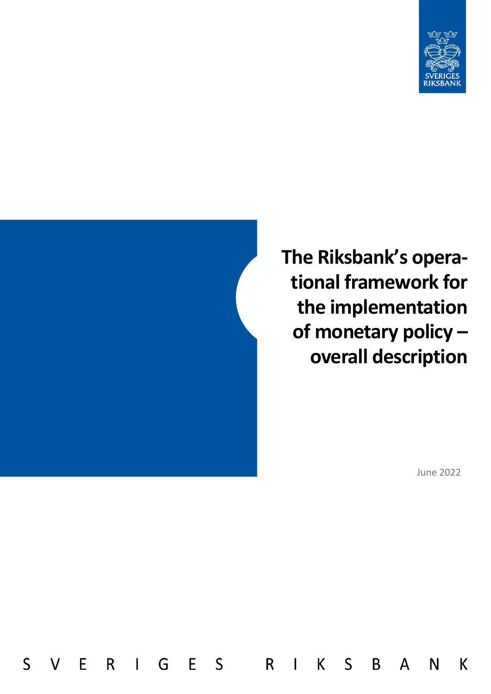



 $\mathsf{S}$ 

E

 $\mathsf{V}$ 

R

 $\mathbf{I}$ 

G

E S

R

 $\overline{1}$ 

 $\mathsf{K}$ 

 $\mathsf{S}$ 

B

 $\mathsf{A}$ 

**The Riksbank's operational framework for the implementation of monetary policy – overall description**

June 2022

N

K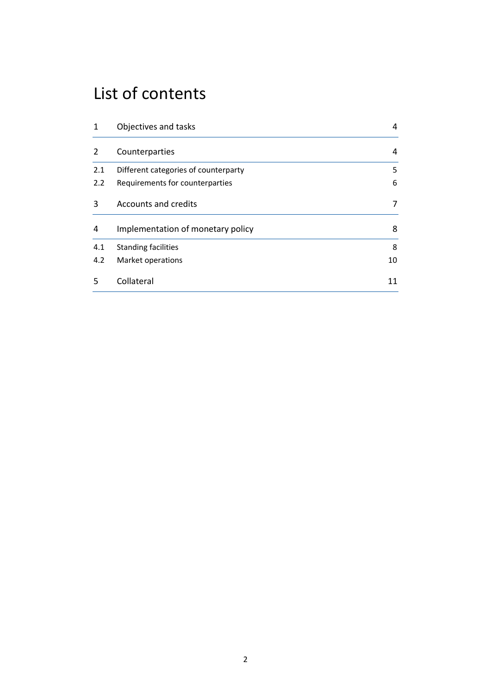## List of contents

| 1   | Objectives and tasks                 | 4  |
|-----|--------------------------------------|----|
| 2   | Counterparties                       | 4  |
| 2.1 | Different categories of counterparty | 5  |
| 2.2 | Requirements for counterparties      | 6  |
| 3   | <b>Accounts and credits</b>          | 7  |
| 4   | Implementation of monetary policy    | 8  |
| 4.1 | <b>Standing facilities</b>           | 8  |
| 4.2 | Market operations                    | 10 |
| 5   | Collateral                           | 11 |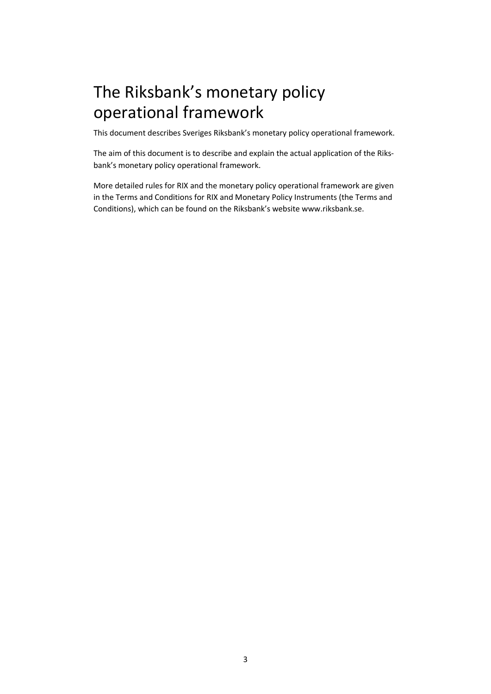# The Riksbank's monetary policy operational framework

This document describes Sveriges Riksbank's monetary policy operational framework.

The aim of this document is to describe and explain the actual application of the Riksbank's monetary policy operational framework.

More detailed rules for RIX and the monetary policy operational framework are given in the Terms and Conditions for RIX and Monetary Policy Instruments (the Terms and Conditions), which can be found on the Riksbank's website www.riksbank.se.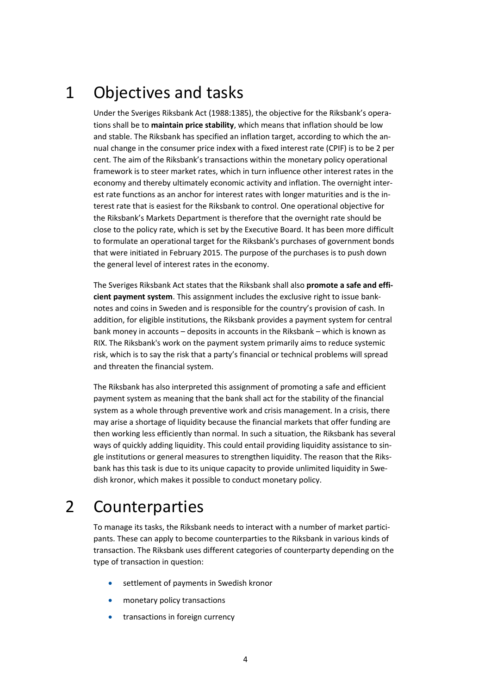## <span id="page-3-0"></span>1 Objectives and tasks

Under the Sveriges Riksbank Act (1988:1385), the objective for the Riksbank's operations shall be to **maintain price stability**, which means that inflation should be low and stable. The Riksbank has specified an inflation target, according to which the annual change in the consumer price index with a fixed interest rate (CPIF) is to be 2 per cent. The aim of the Riksbank's transactions within the monetary policy operational framework is to steer market rates, which in turn influence other interest rates in the economy and thereby ultimately economic activity and inflation. The overnight interest rate functions as an anchor for interest rates with longer maturities and is the interest rate that is easiest for the Riksbank to control. One operational objective for the Riksbank's Markets Department is therefore that the overnight rate should be close to the policy rate, which is set by the Executive Board. It has been more difficult to formulate an operational target for the Riksbank's purchases of government bonds that were initiated in February 2015. The purpose of the purchases is to push down the general level of interest rates in the economy.

The Sveriges Riksbank Act states that the Riksbank shall also **promote a safe and efficient payment system**. This assignment includes the exclusive right to issue banknotes and coins in Sweden and is responsible for the country's provision of cash. In addition, for eligible institutions, the Riksbank provides a payment system for central bank money in accounts – deposits in accounts in the Riksbank – which is known as RIX. The Riksbank's work on the payment system primarily aims to reduce systemic risk, which is to say the risk that a party's financial or technical problems will spread and threaten the financial system.

The Riksbank has also interpreted this assignment of promoting a safe and efficient payment system as meaning that the bank shall act for the stability of the financial system as a whole through preventive work and crisis management. In a crisis, there may arise a shortage of liquidity because the financial markets that offer funding are then working less efficiently than normal. In such a situation, the Riksbank has several ways of quickly adding liquidity. This could entail providing liquidity assistance to single institutions or general measures to strengthen liquidity. The reason that the Riksbank has this task is due to its unique capacity to provide unlimited liquidity in Swedish kronor, which makes it possible to conduct monetary policy.

## <span id="page-3-1"></span>2 Counterparties

To manage its tasks, the Riksbank needs to interact with a number of market participants. These can apply to become counterparties to the Riksbank in various kinds of transaction. The Riksbank uses different categories of counterparty depending on the type of transaction in question:

- settlement of payments in Swedish kronor
- monetary policy transactions
- transactions in foreign currency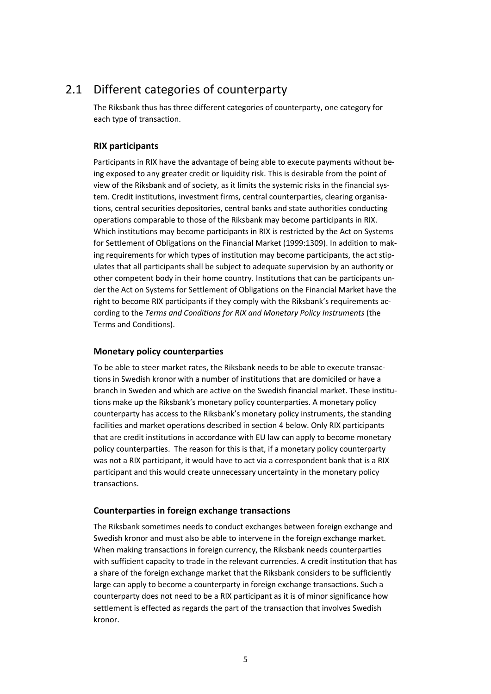### 2.1 Different categories of counterparty

<span id="page-4-0"></span>The Riksbank thus has three different categories of counterparty, one category for each type of transaction.

### **RIX participants**

Participants in RIX have the advantage of being able to execute payments without being exposed to any greater credit or liquidity risk. This is desirable from the point of view of the Riksbank and of society, as it limits the systemic risks in the financial system. Credit institutions, investment firms, central counterparties, clearing organisations, central securities depositories, central banks and state authorities conducting operations comparable to those of the Riksbank may become participants in RIX. Which institutions may become participants in RIX is restricted by the Act on Systems for Settlement of Obligations on the Financial Market (1999:1309). In addition to making requirements for which types of institution may become participants, the act stipulates that all participants shall be subject to adequate supervision by an authority or other competent body in their home country. Institutions that can be participants under the Act on Systems for Settlement of Obligations on the Financial Market have the right to become RIX participants if they comply with the Riksbank's requirements according to the *Terms and Conditions for RIX and Monetary Policy Instruments* (the Terms and Conditions).

#### **Monetary policy counterparties**

To be able to steer market rates, the Riksbank needs to be able to execute transactions in Swedish kronor with a number of institutions that are domiciled or have a branch in Sweden and which are active on the Swedish financial market. These institutions make up the Riksbank's monetary policy counterparties. A monetary policy counterparty has access to the Riksbank's monetary policy instruments, the standing facilities and market operations described in section 4 below. Only RIX participants that are credit institutions in accordance with EU law can apply to become monetary policy counterparties. The reason for this is that, if a monetary policy counterparty was not a RIX participant, it would have to act via a correspondent bank that is a RIX participant and this would create unnecessary uncertainty in the monetary policy transactions.

#### **Counterparties in foreign exchange transactions**

The Riksbank sometimes needs to conduct exchanges between foreign exchange and Swedish kronor and must also be able to intervene in the foreign exchange market. When making transactions in foreign currency, the Riksbank needs counterparties with sufficient capacity to trade in the relevant currencies. A credit institution that has a share of the foreign exchange market that the Riksbank considers to be sufficiently large can apply to become a counterparty in foreign exchange transactions. Such a counterparty does not need to be a RIX participant as it is of minor significance how settlement is effected as regards the part of the transaction that involves Swedish kronor.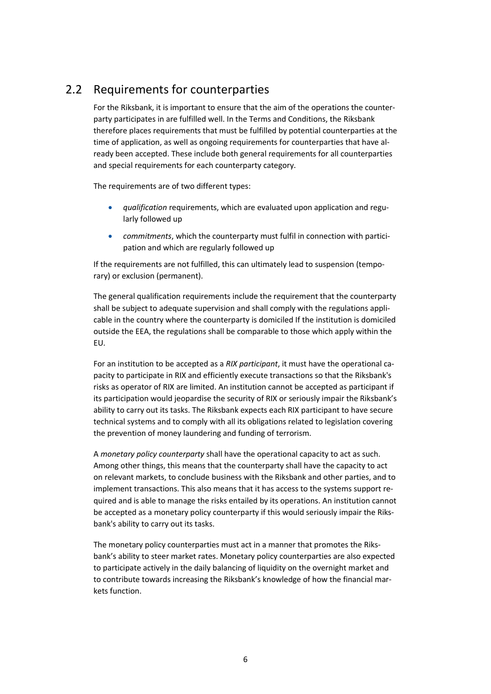### 2.2 Requirements for counterparties

<span id="page-5-0"></span>For the Riksbank, it is important to ensure that the aim of the operations the counterparty participates in are fulfilled well. In the Terms and Conditions, the Riksbank therefore places requirements that must be fulfilled by potential counterparties at the time of application, as well as ongoing requirements for counterparties that have already been accepted. These include both general requirements for all counterparties and special requirements for each counterparty category.

The requirements are of two different types:

- *qualification* requirements, which are evaluated upon application and regularly followed up
- *commitments*, which the counterparty must fulfil in connection with participation and which are regularly followed up

If the requirements are not fulfilled, this can ultimately lead to suspension (temporary) or exclusion (permanent).

The general qualification requirements include the requirement that the counterparty shall be subject to adequate supervision and shall comply with the regulations applicable in the country where the counterparty is domiciled If the institution is domiciled outside the EEA, the regulations shall be comparable to those which apply within the EU.

For an institution to be accepted as a *RIX participant*, it must have the operational capacity to participate in RIX and efficiently execute transactions so that the Riksbank's risks as operator of RIX are limited. An institution cannot be accepted as participant if its participation would jeopardise the security of RIX or seriously impair the Riksbank's ability to carry out its tasks. The Riksbank expects each RIX participant to have secure technical systems and to comply with all its obligations related to legislation covering the prevention of money laundering and funding of terrorism.

A *monetary policy counterparty* shall have the operational capacity to act as such. Among other things, this means that the counterparty shall have the capacity to act on relevant markets, to conclude business with the Riksbank and other parties, and to implement transactions. This also means that it has access to the systems support required and is able to manage the risks entailed by its operations. An institution cannot be accepted as a monetary policy counterparty if this would seriously impair the Riksbank's ability to carry out its tasks.

The monetary policy counterparties must act in a manner that promotes the Riksbank's ability to steer market rates. Monetary policy counterparties are also expected to participate actively in the daily balancing of liquidity on the overnight market and to contribute towards increasing the Riksbank's knowledge of how the financial markets function.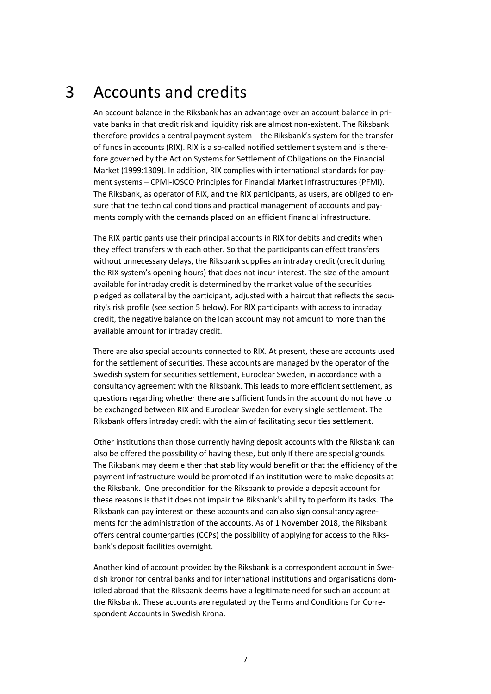## 3 Accounts and credits

<span id="page-6-0"></span>An account balance in the Riksbank has an advantage over an account balance in private banks in that credit risk and liquidity risk are almost non-existent. The Riksbank therefore provides a central payment system – the Riksbank's system for the transfer of funds in accounts (RIX). RIX is a so-called notified settlement system and is therefore governed by the Act on Systems for Settlement of Obligations on the Financial Market (1999:1309). In addition, RIX complies with international standards for payment systems – CPMI-IOSCO Principles for Financial Market Infrastructures (PFMI). The Riksbank, as operator of RIX, and the RIX participants, as users, are obliged to ensure that the technical conditions and practical management of accounts and payments comply with the demands placed on an efficient financial infrastructure.

The RIX participants use their principal accounts in RIX for debits and credits when they effect transfers with each other. So that the participants can effect transfers without unnecessary delays, the Riksbank supplies an intraday credit (credit during the RIX system's opening hours) that does not incur interest. The size of the amount available for intraday credit is determined by the market value of the securities pledged as collateral by the participant, adjusted with a haircut that reflects the security's risk profile (see section 5 below). For RIX participants with access to intraday credit, the negative balance on the loan account may not amount to more than the available amount for intraday credit.

There are also special accounts connected to RIX. At present, these are accounts used for the settlement of securities. These accounts are managed by the operator of the Swedish system for securities settlement, Euroclear Sweden, in accordance with a consultancy agreement with the Riksbank. This leads to more efficient settlement, as questions regarding whether there are sufficient funds in the account do not have to be exchanged between RIX and Euroclear Sweden for every single settlement. The Riksbank offers intraday credit with the aim of facilitating securities settlement.

Other institutions than those currently having deposit accounts with the Riksbank can also be offered the possibility of having these, but only if there are special grounds. The Riksbank may deem either that stability would benefit or that the efficiency of the payment infrastructure would be promoted if an institution were to make deposits at the Riksbank. One precondition for the Riksbank to provide a deposit account for these reasons is that it does not impair the Riksbank's ability to perform its tasks. The Riksbank can pay interest on these accounts and can also sign consultancy agreements for the administration of the accounts. As of 1 November 2018, the Riksbank offers central counterparties (CCPs) the possibility of applying for access to the Riksbank's deposit facilities overnight.

Another kind of account provided by the Riksbank is a correspondent account in Swedish kronor for central banks and for international institutions and organisations domiciled abroad that the Riksbank deems have a legitimate need for such an account at the Riksbank. These accounts are regulated by the Terms and Conditions for Correspondent Accounts in Swedish Krona.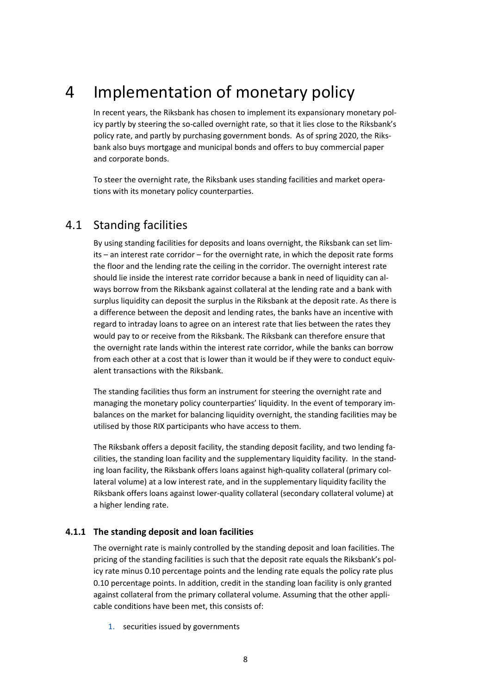## 4 Implementation of monetary policy

<span id="page-7-0"></span>In recent years, the Riksbank has chosen to implement its expansionary monetary policy partly by steering the so-called overnight rate, so that it lies close to the Riksbank's policy rate, and partly by purchasing government bonds. As of spring 2020, the Riksbank also buys mortgage and municipal bonds and offers to buy commercial paper and corporate bonds.

To steer the overnight rate, the Riksbank uses standing facilities and market operations with its monetary policy counterparties.

### <span id="page-7-1"></span>4.1 Standing facilities

By using standing facilities for deposits and loans overnight, the Riksbank can set limits – an interest rate corridor – for the overnight rate, in which the deposit rate forms the floor and the lending rate the ceiling in the corridor. The overnight interest rate should lie inside the interest rate corridor because a bank in need of liquidity can always borrow from the Riksbank against collateral at the lending rate and a bank with surplus liquidity can deposit the surplus in the Riksbank at the deposit rate. As there is a difference between the deposit and lending rates, the banks have an incentive with regard to intraday loans to agree on an interest rate that lies between the rates they would pay to or receive from the Riksbank. The Riksbank can therefore ensure that the overnight rate lands within the interest rate corridor, while the banks can borrow from each other at a cost that is lower than it would be if they were to conduct equivalent transactions with the Riksbank.

The standing facilities thus form an instrument for steering the overnight rate and managing the monetary policy counterparties' liquidity. In the event of temporary imbalances on the market for balancing liquidity overnight, the standing facilities may be utilised by those RIX participants who have access to them.

The Riksbank offers a deposit facility, the standing deposit facility, and two lending facilities, the standing loan facility and the supplementary liquidity facility. In the standing loan facility, the Riksbank offers loans against high-quality collateral (primary collateral volume) at a low interest rate, and in the supplementary liquidity facility the Riksbank offers loans against lower-quality collateral (secondary collateral volume) at a higher lending rate.

#### **4.1.1 The standing deposit and loan facilities**

The overnight rate is mainly controlled by the standing deposit and loan facilities. The pricing of the standing facilities is such that the deposit rate equals the Riksbank's policy rate minus 0.10 percentage points and the lending rate equals the policy rate plus 0.10 percentage points. In addition, credit in the standing loan facility is only granted against collateral from the primary collateral volume. Assuming that the other applicable conditions have been met, this consists of:

1. securities issued by governments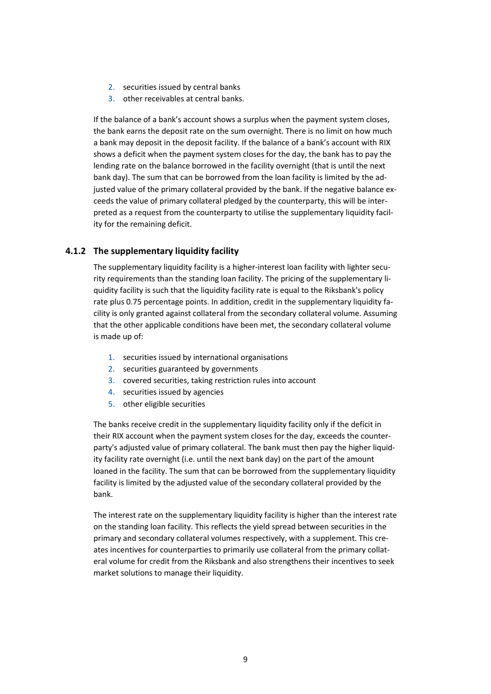- 2. securities issued by central banks
- 3. other receivables at central banks.

If the balance of a bank's account shows a surplus when the payment system closes, the bank earns the deposit rate on the sum overnight. There is no limit on how much a bank may deposit in the deposit facility. If the balance of a bank's account with RIX shows a deficit when the payment system closes for the day, the bank has to pay the lending rate on the balance borrowed in the facility overnight (that is until the next bank day). The sum that can be borrowed from the loan facility is limited by the adjusted value of the primary collateral provided by the bank. If the negative balance exceeds the value of primary collateral pledged by the counterparty, this will be interpreted as a request from the counterparty to utilise the supplementary liquidity facility for the remaining deficit.

#### **4.1.2 The supplementary liquidity facility**

The supplementary liquidity facility is a higher-interest loan facility with lighter security requirements than the standing loan facility. The pricing of the supplementary liquidity facility is such that the liquidity facility rate is equal to the Riksbank's policy rate plus 0.75 percentage points. In addition, credit in the supplementary liquidity facility is only granted against collateral from the secondary collateral volume. Assuming that the other applicable conditions have been met, the secondary collateral volume is made up of:

- 1. securities issued by international organisations
- 2. securities guaranteed by governments
- 3. covered securities, taking restriction rules into account
- 4. securities issued by agencies
- 5. other eligible securities

The banks receive credit in the supplementary liquidity facility only if the deficit in their RIX account when the payment system closes for the day, exceeds the counterparty's adjusted value of primary collateral. The bank must then pay the higher liquidity facility rate overnight (i.e. until the next bank day) on the part of the amount loaned in the facility. The sum that can be borrowed from the supplementary liquidity facility is limited by the adjusted value of the secondary collateral provided by the bank.

The interest rate on the supplementary liquidity facility is higher than the interest rate on the standing loan facility. This reflects the yield spread between securities in the primary and secondary collateral volumes respectively, with a supplement. This creates incentives for counterparties to primarily use collateral from the primary collateral volume for credit from the Riksbank and also strengthens their incentives to seek market solutions to manage their liquidity.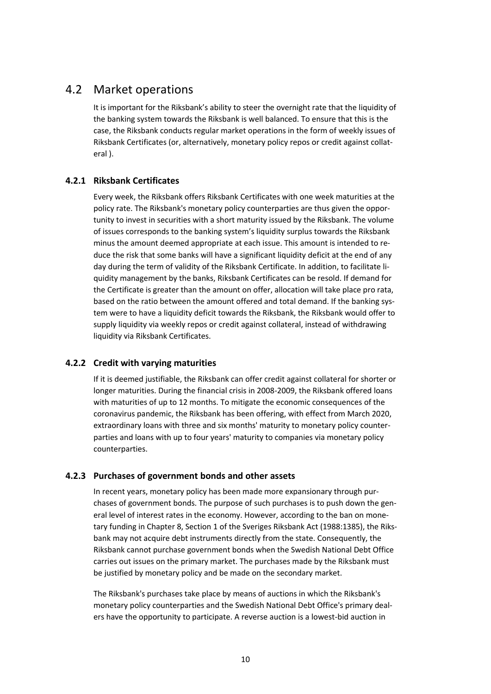### 4.2 Market operations

<span id="page-9-0"></span>It is important for the Riksbank's ability to steer the overnight rate that the liquidity of the banking system towards the Riksbank is well balanced. To ensure that this is the case, the Riksbank conducts regular market operations in the form of weekly issues of Riksbank Certificates (or, alternatively, monetary policy repos or credit against collateral ).

### **4.2.1 Riksbank Certificates**

Every week, the Riksbank offers Riksbank Certificates with one week maturities at the policy rate. The Riksbank's monetary policy counterparties are thus given the opportunity to invest in securities with a short maturity issued by the Riksbank. The volume of issues corresponds to the banking system's liquidity surplus towards the Riksbank minus the amount deemed appropriate at each issue. This amount is intended to reduce the risk that some banks will have a significant liquidity deficit at the end of any day during the term of validity of the Riksbank Certificate. In addition, to facilitate liquidity management by the banks, Riksbank Certificates can be resold. If demand for the Certificate is greater than the amount on offer, allocation will take place pro rata, based on the ratio between the amount offered and total demand. If the banking system were to have a liquidity deficit towards the Riksbank, the Riksbank would offer to supply liquidity via weekly repos or credit against collateral, instead of withdrawing liquidity via Riksbank Certificates.

### **4.2.2 Credit with varying maturities**

If it is deemed justifiable, the Riksbank can offer credit against collateral for shorter or longer maturities. During the financial crisis in 2008-2009, the Riksbank offered loans with maturities of up to 12 months. To mitigate the economic consequences of the coronavirus pandemic, the Riksbank has been offering, with effect from March 2020, extraordinary loans with three and six months' maturity to monetary policy counterparties and loans with up to four years' maturity to companies via monetary policy counterparties.

### **4.2.3 Purchases of government bonds and other assets**

In recent years, monetary policy has been made more expansionary through purchases of government bonds. The purpose of such purchases is to push down the general level of interest rates in the economy. However, according to the ban on monetary funding in Chapter 8, Section 1 of the Sveriges Riksbank Act (1988:1385), the Riksbank may not acquire debt instruments directly from the state. Consequently, the Riksbank cannot purchase government bonds when the Swedish National Debt Office carries out issues on the primary market. The purchases made by the Riksbank must be justified by monetary policy and be made on the secondary market.

The Riksbank's purchases take place by means of auctions in which the Riksbank's monetary policy counterparties and the Swedish National Debt Office's primary dealers have the opportunity to participate. A reverse auction is a lowest-bid auction in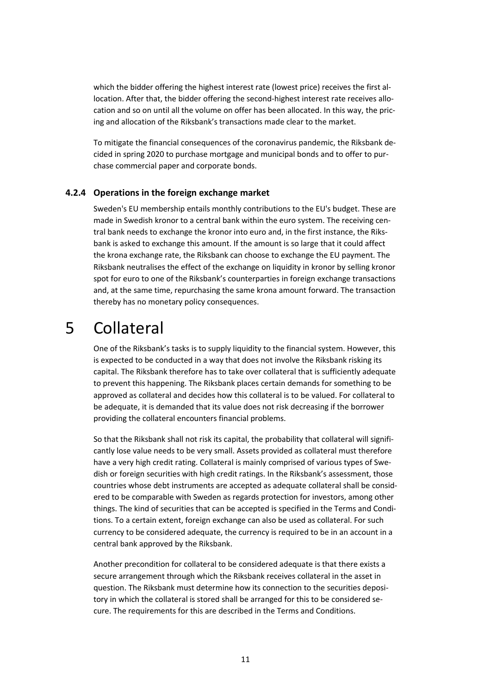which the bidder offering the highest interest rate (lowest price) receives the first allocation. After that, the bidder offering the second-highest interest rate receives allocation and so on until all the volume on offer has been allocated. In this way, the pricing and allocation of the Riksbank's transactions made clear to the market.

To mitigate the financial consequences of the coronavirus pandemic, the Riksbank decided in spring 2020 to purchase mortgage and municipal bonds and to offer to purchase commercial paper and corporate bonds.

#### **4.2.4 Operations in the foreign exchange market**

Sweden's EU membership entails monthly contributions to the EU's budget. These are made in Swedish kronor to a central bank within the euro system. The receiving central bank needs to exchange the kronor into euro and, in the first instance, the Riksbank is asked to exchange this amount. If the amount is so large that it could affect the krona exchange rate, the Riksbank can choose to exchange the EU payment. The Riksbank neutralises the effect of the exchange on liquidity in kronor by selling kronor spot for euro to one of the Riksbank's counterparties in foreign exchange transactions and, at the same time, repurchasing the same krona amount forward. The transaction thereby has no monetary policy consequences.

### <span id="page-10-0"></span>5 Collateral

One of the Riksbank's tasks is to supply liquidity to the financial system. However, this is expected to be conducted in a way that does not involve the Riksbank risking its capital. The Riksbank therefore has to take over collateral that is sufficiently adequate to prevent this happening. The Riksbank places certain demands for something to be approved as collateral and decides how this collateral is to be valued. For collateral to be adequate, it is demanded that its value does not risk decreasing if the borrower providing the collateral encounters financial problems.

So that the Riksbank shall not risk its capital, the probability that collateral will significantly lose value needs to be very small. Assets provided as collateral must therefore have a very high credit rating. Collateral is mainly comprised of various types of Swedish or foreign securities with high credit ratings. In the Riksbank's assessment, those countries whose debt instruments are accepted as adequate collateral shall be considered to be comparable with Sweden as regards protection for investors, among other things. The kind of securities that can be accepted is specified in the Terms and Conditions. To a certain extent, foreign exchange can also be used as collateral. For such currency to be considered adequate, the currency is required to be in an account in a central bank approved by the Riksbank.

Another precondition for collateral to be considered adequate is that there exists a secure arrangement through which the Riksbank receives collateral in the asset in question. The Riksbank must determine how its connection to the securities depository in which the collateral is stored shall be arranged for this to be considered secure. The requirements for this are described in the Terms and Conditions.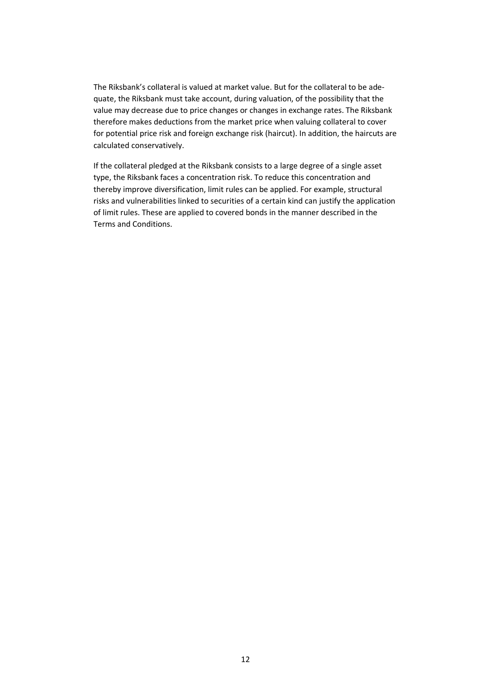The Riksbank's collateral is valued at market value. But for the collateral to be adequate, the Riksbank must take account, during valuation, of the possibility that the value may decrease due to price changes or changes in exchange rates. The Riksbank therefore makes deductions from the market price when valuing collateral to cover for potential price risk and foreign exchange risk (haircut). In addition, the haircuts are calculated conservatively.

If the collateral pledged at the Riksbank consists to a large degree of a single asset type, the Riksbank faces a concentration risk. To reduce this concentration and thereby improve diversification, limit rules can be applied. For example, structural risks and vulnerabilities linked to securities of a certain kind can justify the application of limit rules. These are applied to covered bonds in the manner described in the Terms and Conditions.